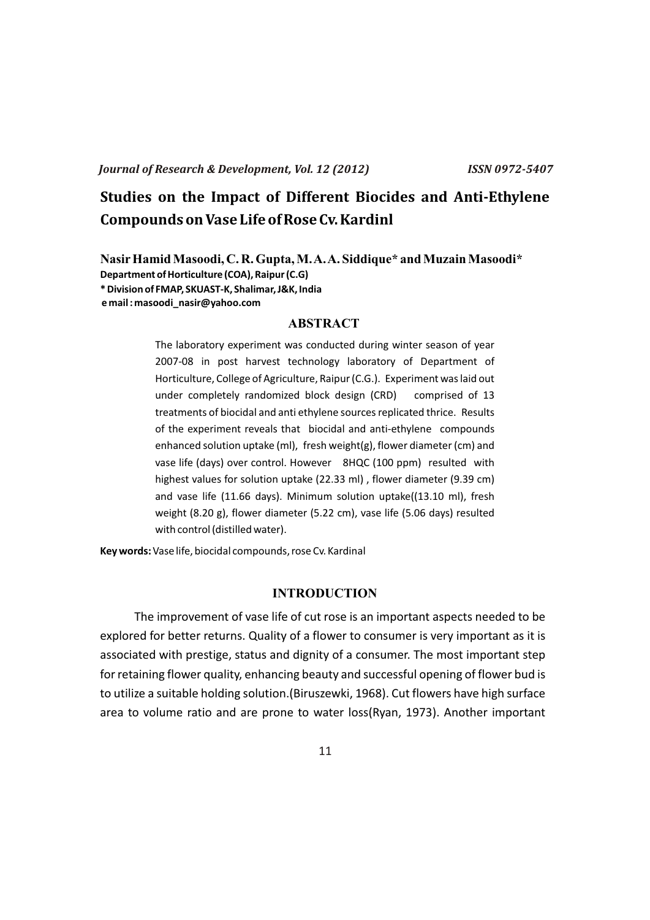# **Studies on the Impact of Different Biocides and Anti-Ethylene Compounds on Vase Life of Rose Cv. Kardinl**

**NasirHamid Masoodi, C. R. Gupta, M. A. A. Siddique\* and Muzain Masoodi\* Department of Horticulture (COA), Raipur (C.G) \* Division of FMAP, SKUAST-K, Shalimar, J&K, India e mail : masoodi\_nasir@yahoo.com**

# **ABSTRACT**

The laboratory experiment was conducted during winter season of year 2007-08 in post harvest technology laboratory of Department of Horticulture, College of Agriculture, Raipur (C.G.). Experiment was laid out under completely randomized block design (CRD) comprised of 13 treatments of biocidal and anti ethylene sources replicated thrice. Results of the experiment reveals that biocidal and anti-ethylene compounds enhanced solution uptake (ml), fresh weight(g), flower diameter (cm) and vase life (days) over control. However 8HQC (100 ppm) resulted with highest values for solution uptake (22.33 ml) , flower diameter (9.39 cm) and vase life (11.66 days). Minimum solution uptake((13.10 ml), fresh weight (8.20 g), flower diameter (5.22 cm), vase life (5.06 days) resulted with control (distilled water).

**Key words:** Vase life, biocidal compounds, rose Cv. Kardinal

# **INTRODUCTION**

The improvement of vase life of cut rose is an important aspects needed to be explored for better returns. Quality of a flower to consumer is very important as it is associated with prestige, status and dignity of a consumer. The most important step for retaining flower quality, enhancing beauty and successful opening of flower bud is to utilize a suitable holding solution.(Biruszewki, 1968). Cut flowers have high surface area to volume ratio and are prone to water loss(Ryan, 1973). Another important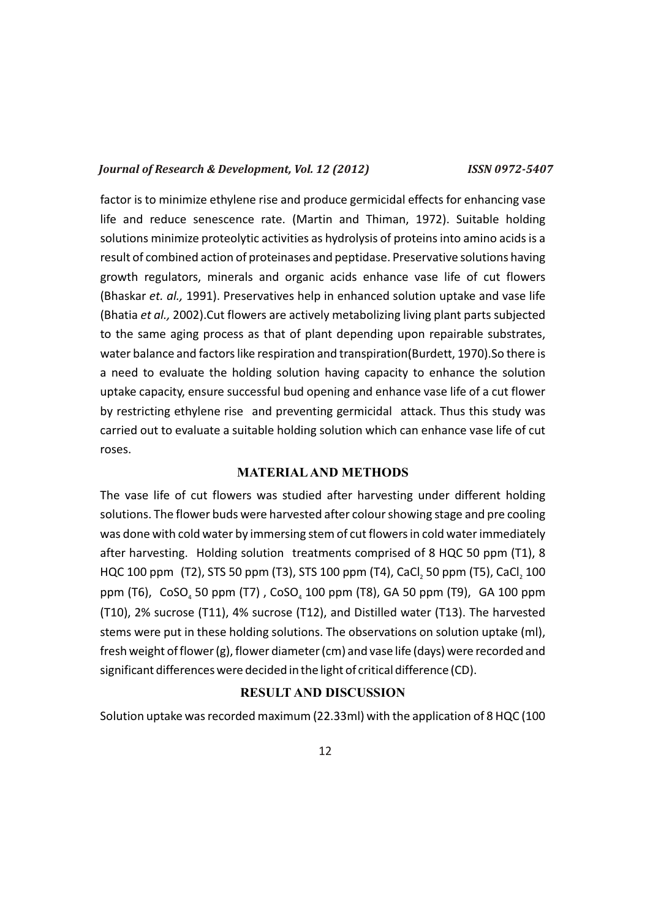factor is to minimize ethylene rise and produce germicidal effects for enhancing vase life and reduce senescence rate. (Martin and Thiman, 1972). Suitable holding solutions minimize proteolytic activities as hydrolysis of proteins into amino acids is a result of combined action of proteinases and peptidase. Preservative solutions having growth regulators, minerals and organic acids enhance vase life of cut flowers (Bhaskar *et. al.,* 1991). Preservatives help in enhanced solution uptake and vase life (Bhatia *et al.,* 2002).Cut flowers are actively metabolizing living plant parts subjected to the same aging process as that of plant depending upon repairable substrates, water balance and factors like respiration and transpiration(Burdett, 1970).So there is a need to evaluate the holding solution having capacity to enhance the solution uptake capacity, ensure successful bud opening and enhance vase life of a cut flower by restricting ethylene rise and preventing germicidal attack. Thus this study was carried out to evaluate a suitable holding solution which can enhance vase life of cut roses.

#### **MATERIALAND METHODS**

The vase life of cut flowers was studied after harvesting under different holding solutions. The flower buds were harvested after colour showing stage and pre cooling was done with cold water by immersing stem of cut flowers in cold water immediately after harvesting. Holding solution treatments comprised of 8 HQC 50 ppm (T1), 8 HQC 100 ppm (T2), STS 50 ppm (T3), STS 100 ppm (T4), CaCl, 50 ppm (T5), CaCl, 100 ppm (T6),  $CoSO<sub>4</sub>$  50 ppm (T7),  $CoSO<sub>4</sub>$  100 ppm (T8), GA 50 ppm (T9), GA 100 ppm (T10), 2% sucrose (T11), 4% sucrose (T12), and Distilled water (T13). The harvested stems were put in these holding solutions. The observations on solution uptake (ml), fresh weight of flower (g), flower diameter (cm) and vase life (days) were recorded and significant differences were decided in the light of critical difference (CD).

# **RESULT AND DISCUSSION**

Solution uptake was recorded maximum (22.33ml) with the application of 8 HQC (100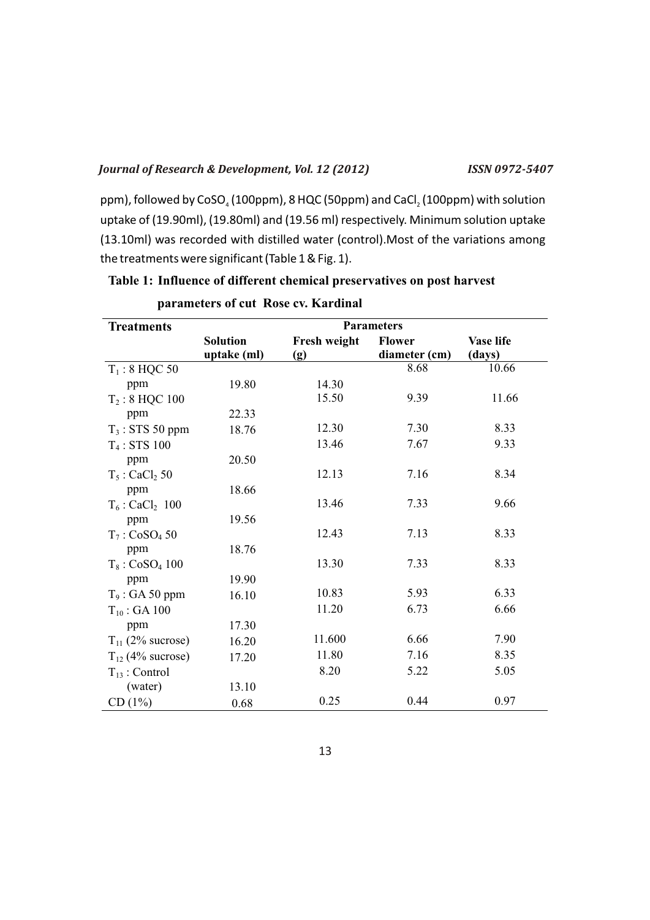ppm), followed by  $CoSO<sub>4</sub>$  (100ppm), 8 HQC (50ppm) and CaCl, (100ppm) with solution uptake of (19.90ml), (19.80ml) and (19.56 ml) respectively. Minimum solution uptake (13.10ml) was recorded with distilled water (control).Most of the variations among the treatments were significant (Table 1 & Fig. 1).

| <b>Treatments</b>             | <b>Parameters</b> |              |               |           |
|-------------------------------|-------------------|--------------|---------------|-----------|
|                               | <b>Solution</b>   | Fresh weight | <b>Flower</b> | Vase life |
|                               | uptake (ml)       | (g)          | diameter (cm) | (days)    |
| $T_1$ : 8 HQC 50              |                   |              | 8.68          | 10.66     |
| ppm                           | 19.80             | 14.30        |               |           |
| $T_2$ : 8 HQC 100             |                   | 15.50        | 9.39          | 11.66     |
| ppm                           | 22.33             |              |               |           |
| $T_3$ : STS 50 ppm            | 18.76             | 12.30        | 7.30          | 8.33      |
| $T_4$ : STS 100               |                   | 13.46        | 7.67          | 9.33      |
| ppm                           | 20.50             |              |               |           |
| $T_5$ : CaCl <sub>2</sub> 50  |                   | 12.13        | 7.16          | 8.34      |
| ppm                           | 18.66             |              |               |           |
| $T_6$ : CaCl <sub>2</sub> 100 |                   | 13.46        | 7.33          | 9.66      |
| ppm                           | 19.56             |              |               |           |
| $T_7$ : CoSO <sub>4</sub> 50  |                   | 12.43        | 7.13          | 8.33      |
| ppm                           | 18.76             |              |               |           |
| $T_8$ : CoSO <sub>4</sub> 100 |                   | 13.30        | 7.33          | 8.33      |
| ppm                           | 19.90             |              |               |           |
| $T_9$ : GA 50 ppm             | 16.10             | 10.83        | 5.93          | 6.33      |
| $T_{10}$ : GA 100             |                   | 11.20        | 6.73          | 6.66      |
| ppm                           | 17.30             |              |               |           |
| $T_{11}$ (2% sucrose)         | 16.20             | 11.600       | 6.66          | 7.90      |
| $T_{12}$ (4% sucrose)         | 17.20             | 11.80        | 7.16          | 8.35      |
| $T_{13}$ : Control            |                   | 8.20         | 5.22          | 5.05      |
| (water)                       | 13.10             |              |               |           |
| CD(1%)                        | 0.68              | 0.25         | 0.44          | 0.97      |

# **Table 1: Influence of different chemical preservatives on post harvest**

|  | parameters of cut Rose cv. Kardinal |
|--|-------------------------------------|
|--|-------------------------------------|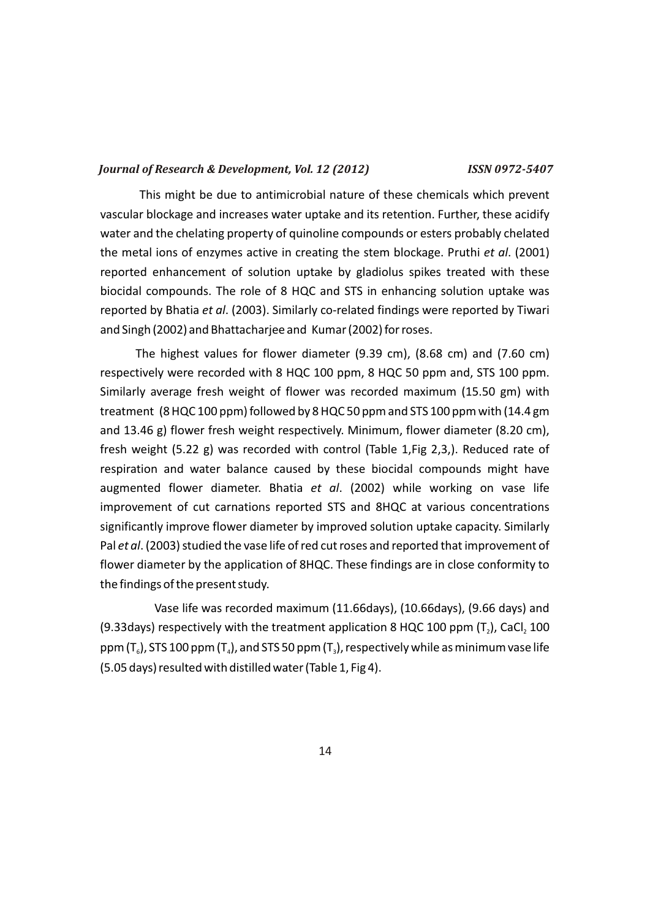This might be due to antimicrobial nature of these chemicals which prevent vascular blockage and increases water uptake and its retention. Further, these acidify water and the chelating property of quinoline compounds or esters probably chelated the metal ions of enzymes active in creating the stem blockage. Pruthi *et al*. (2001) reported enhancement of solution uptake by gladiolus spikes treated with these biocidal compounds. The role of 8 HQC and STS in enhancing solution uptake was reported by Bhatia *et al*. (2003). Similarly co-related findings were reported by Tiwari and Singh (2002) and Bhattacharjee and Kumar (2002) for roses.

The highest values for flower diameter (9.39 cm), (8.68 cm) and (7.60 cm) respectively were recorded with 8 HQC 100 ppm, 8 HQC 50 ppm and, STS 100 ppm. Similarly average fresh weight of flower was recorded maximum (15.50 gm) with treatment (8 HQC 100 ppm) followed by 8 HQC 50 ppm and STS 100 ppm with (14.4 gm and 13.46 g) flower fresh weight respectively. Minimum, flower diameter (8.20 cm), fresh weight (5.22 g) was recorded with control (Table 1,Fig 2,3,). Reduced rate of respiration and water balance caused by these biocidal compounds might have augmented flower diameter. Bhatia *et al*. (2002) while working on vase life improvement of cut carnations reported STS and 8HQC at various concentrations significantly improve flower diameter by improved solution uptake capacity. Similarly Pal *et al*. (2003) studied the vase life of red cut roses and reported that improvement of flower diameter by the application of 8HQC. These findings are in close conformity to the findings of the present study.

Vase life was recorded maximum (11.66days), (10.66days), (9.66 days) and (9.33days) respectively with the treatment application 8 HQC 100 ppm  $(T_2)$ , CaCl, 100 ppm  $(T_6)$ , STS 100 ppm  $(T_4)$ , and STS 50 ppm  $(T_3)$ , respectively while as minimum vase life (5.05 days) resulted with distilled water (Table 1, Fig 4).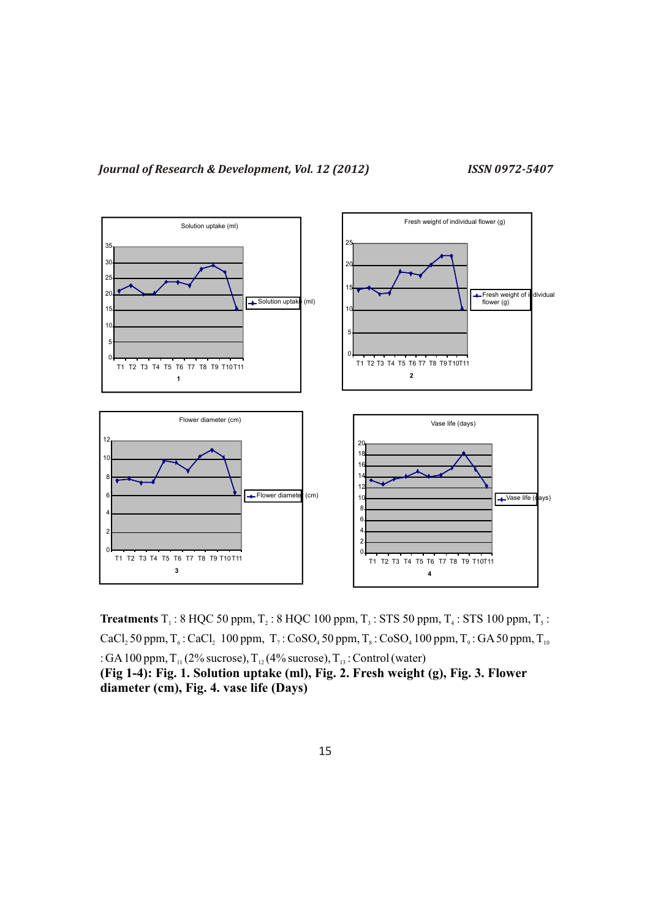

**Treatments**  $T_1$ : 8 HQC 50 ppm,  $T_2$ : 8 HQC 100 ppm,  $T_3$ : STS 50 ppm,  $T_4$ : STS 100 ppm,  $T_5$ : CaCl<sub>2</sub> 50 ppm,  $T_6$ : CaCl<sub>2</sub> 100 ppm,  $T_7$ : CoSO<sub>4</sub> 50 ppm,  $T_8$ : CoSO<sub>4</sub> 100 ppm,  $T_9$ : GA 50 ppm,  $T_{10}$ : GA 100 ppm,  $T_{11}$  (2% sucrose),  $T_{12}$  (4% sucrose),  $T_{13}$ : Control (water) **(Fig 1-4): Fig. 1. Solution uptake (ml), Fig. 2. Fresh weight (g), Fig. 3. Flower diameter (cm), Fig. 4. vase life (Days)**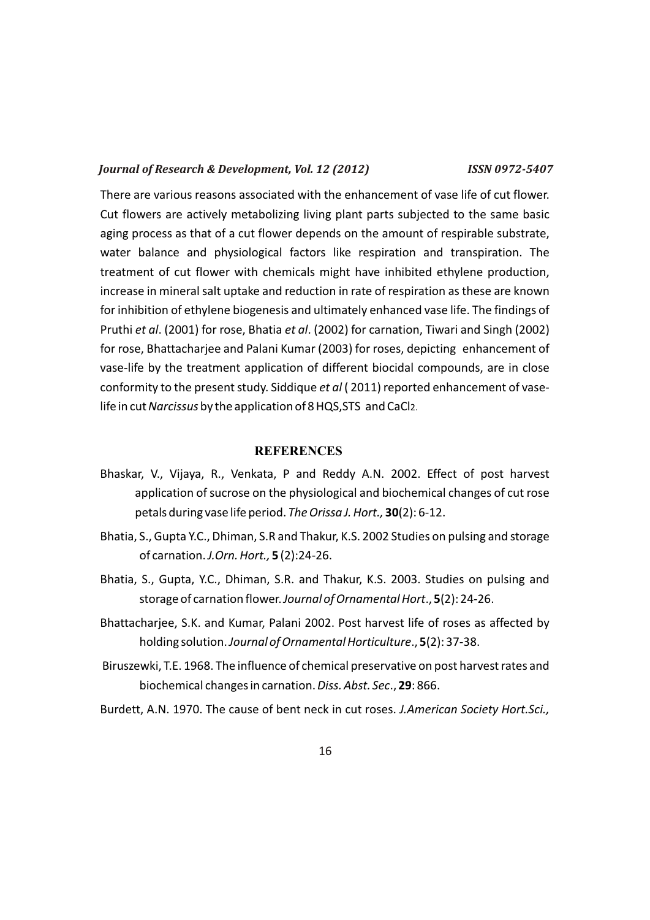There are various reasons associated with the enhancement of vase life of cut flower. Cut flowers are actively metabolizing living plant parts subjected to the same basic aging process as that of a cut flower depends on the amount of respirable substrate, water balance and physiological factors like respiration and transpiration. The treatment of cut flower with chemicals might have inhibited ethylene production, increase in mineral salt uptake and reduction in rate of respiration as these are known for inhibition of ethylene biogenesis and ultimately enhanced vase life. The findings of Pruthi *et al*. (2001) for rose, Bhatia *et al*. (2002) for carnation, Tiwari and Singh (2002) for rose, Bhattacharjee and Palani Kumar (2003) for roses, depicting enhancement of vase-life by the treatment application of different biocidal compounds, are in close conformity to the present study. Siddique *et al* ( 2011) reported enhancement of vaselife in cut *Narcissus* by the application of 8 HQS,STS and CaCl2.

# **REFERENCES**

- Bhaskar, V., Vijaya, R., Venkata, P and Reddy A.N. 2002. Effect of post harvest application of sucrose on the physiological and biochemical changes of cut rose petals during vase life period. *The Orissa J. Hort.,* **30**(2): 6-12.
- Bhatia, S., Gupta Y.C., Dhiman, S.R and Thakur, K.S. 2002 Studies on pulsing and storage of carnation. *J.Orn. Hort.,* **5** (2):24-26.
- Bhatia, S., Gupta, Y.C., Dhiman, S.R. and Thakur, K.S. 2003. Studies on pulsing and storage of carnation flower. *Journal of Ornamental Hort*., **5**(2): 24-26.
- Bhattacharjee, S.K. and Kumar, Palani 2002. Post harvest life of roses as affected by holding solution. *Journal of Ornamental Horticulture*., **5**(2): 37-38.
- Biruszewki, T.E. 1968. The influence of chemical preservative on post harvest rates and biochemical changes in carnation. *Diss. Abst. Sec*., **29**: 866.

Burdett, A.N. 1970. The cause of bent neck in cut roses. *J.American Society Hort.Sci.,*